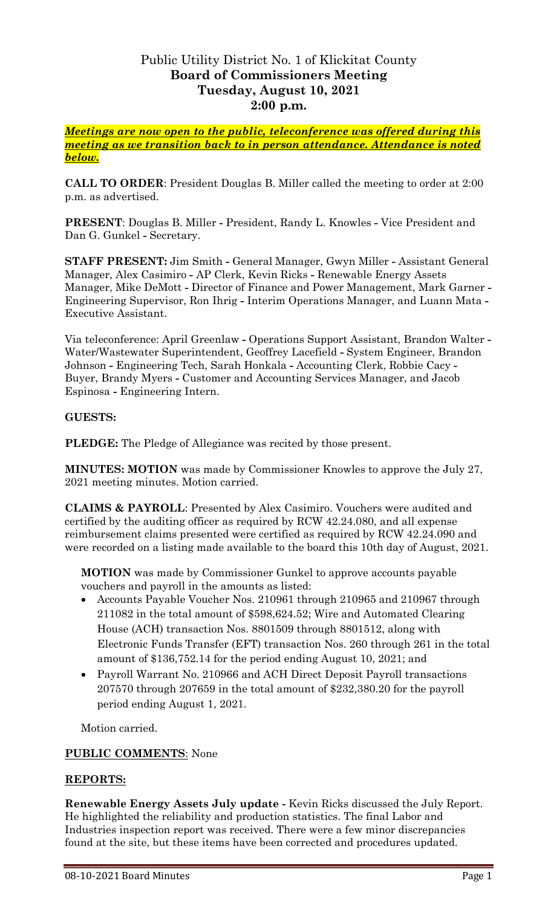# Public Utility District No. 1 of Klickitat County **Board of Commissioners Meeting Tuesday, August 10, 2021 2:00 p.m.**

*Meetings are now open to the public, teleconference was offered during this meeting as we transition back to in person attendance. Attendance is noted below.*

**CALL TO ORDER**: President Douglas B. Miller called the meeting to order at 2:00 p.m. as advertised.

**PRESENT**: Douglas B. Miller **-** President, Randy L. Knowles **-** Vice President and Dan G. Gunkel **-** Secretary.

**STAFF PRESENT:** Jim Smith **-** General Manager, Gwyn Miller **-** Assistant General Manager, Alex Casimiro **-** AP Clerk, Kevin Ricks **-** Renewable Energy Assets Manager, Mike DeMott **-** Director of Finance and Power Management, Mark Garner **-** Engineering Supervisor, Ron Ihrig **-** Interim Operations Manager, and Luann Mata **-** Executive Assistant.

Via teleconference: April Greenlaw **-** Operations Support Assistant, Brandon Walter **-** Water/Wastewater Superintendent, Geoffrey Lacefield **-** System Engineer, Brandon Johnson **-** Engineering Tech, Sarah Honkala **-** Accounting Clerk, Robbie Cacy **-** Buyer, Brandy Myers **-** Customer and Accounting Services Manager, and Jacob Espinosa **-** Engineering Intern.

## **GUESTS:**

**PLEDGE:** The Pledge of Allegiance was recited by those present.

**MINUTES: MOTION** was made by Commissioner Knowles to approve the July 27, 2021 meeting minutes. Motion carried.

**CLAIMS & PAYROLL**: Presented by Alex Casimiro. Vouchers were audited and certified by the auditing officer as required by RCW 42.24.080, and all expense reimbursement claims presented were certified as required by RCW 42.24.090 and were recorded on a listing made available to the board this 10th day of August, 2021.

**MOTION** was made by Commissioner Gunkel to approve accounts payable vouchers and payroll in the amounts as listed:

- Accounts Payable Voucher Nos. 210961 through 210965 and 210967 through 211082 in the total amount of \$598,624.52; Wire and Automated Clearing House (ACH) transaction Nos. 8801509 through 8801512, along with Electronic Funds Transfer (EFT) transaction Nos. 260 through 261 in the total amount of \$136,752.14 for the period ending August 10, 2021; and
- Payroll Warrant No. 210966 and ACH Direct Deposit Payroll transactions 207570 through 207659 in the total amount of \$232,380.20 for the payroll period ending August 1, 2021.

Motion carried.

#### **PUBLIC COMMENTS**: None

#### **REPORTS:**

**Renewable Energy Assets July update -** Kevin Ricks discussed the July Report. He highlighted the reliability and production statistics. The final Labor and Industries inspection report was received. There were a few minor discrepancies found at the site, but these items have been corrected and procedures updated.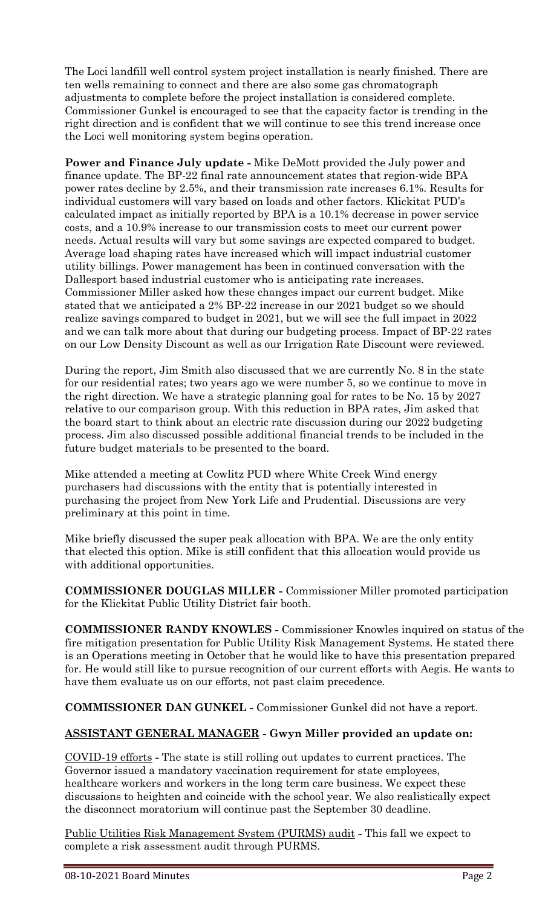The Loci landfill well control system project installation is nearly finished. There are ten wells remaining to connect and there are also some gas chromatograph adjustments to complete before the project installation is considered complete. Commissioner Gunkel is encouraged to see that the capacity factor is trending in the right direction and is confident that we will continue to see this trend increase once the Loci well monitoring system begins operation.

**Power and Finance July update -** Mike DeMott provided the July power and finance update. The BP-22 final rate announcement states that region-wide BPA power rates decline by 2.5%, and their transmission rate increases 6.1%. Results for individual customers will vary based on loads and other factors. Klickitat PUD's calculated impact as initially reported by BPA is a 10.1% decrease in power service costs, and a 10.9% increase to our transmission costs to meet our current power needs. Actual results will vary but some savings are expected compared to budget. Average load shaping rates have increased which will impact industrial customer utility billings. Power management has been in continued conversation with the Dallesport based industrial customer who is anticipating rate increases. Commissioner Miller asked how these changes impact our current budget. Mike stated that we anticipated a 2% BP-22 increase in our 2021 budget so we should realize savings compared to budget in 2021, but we will see the full impact in 2022 and we can talk more about that during our budgeting process. Impact of BP-22 rates on our Low Density Discount as well as our Irrigation Rate Discount were reviewed.

During the report, Jim Smith also discussed that we are currently No. 8 in the state for our residential rates; two years ago we were number 5, so we continue to move in the right direction. We have a strategic planning goal for rates to be No. 15 by 2027 relative to our comparison group. With this reduction in BPA rates, Jim asked that the board start to think about an electric rate discussion during our 2022 budgeting process. Jim also discussed possible additional financial trends to be included in the future budget materials to be presented to the board.

Mike attended a meeting at Cowlitz PUD where White Creek Wind energy purchasers had discussions with the entity that is potentially interested in purchasing the project from New York Life and Prudential. Discussions are very preliminary at this point in time.

Mike briefly discussed the super peak allocation with BPA. We are the only entity that elected this option. Mike is still confident that this allocation would provide us with additional opportunities.

**COMMISSIONER DOUGLAS MILLER -** Commissioner Miller promoted participation for the Klickitat Public Utility District fair booth.

**COMMISSIONER RANDY KNOWLES -** Commissioner Knowles inquired on status of the fire mitigation presentation for Public Utility Risk Management Systems. He stated there is an Operations meeting in October that he would like to have this presentation prepared for. He would still like to pursue recognition of our current efforts with Aegis. He wants to have them evaluate us on our efforts, not past claim precedence.

**COMMISSIONER DAN GUNKEL -** Commissioner Gunkel did not have a report.

## **ASSISTANT GENERAL MANAGER - Gwyn Miller provided an update on:**

COVID-19 efforts **-** The state is still rolling out updates to current practices. The Governor issued a mandatory vaccination requirement for state employees, healthcare workers and workers in the long term care business. We expect these discussions to heighten and coincide with the school year. We also realistically expect the disconnect moratorium will continue past the September 30 deadline.

Public Utilities Risk Management System (PURMS) audit **-** This fall we expect to complete a risk assessment audit through PURMS.